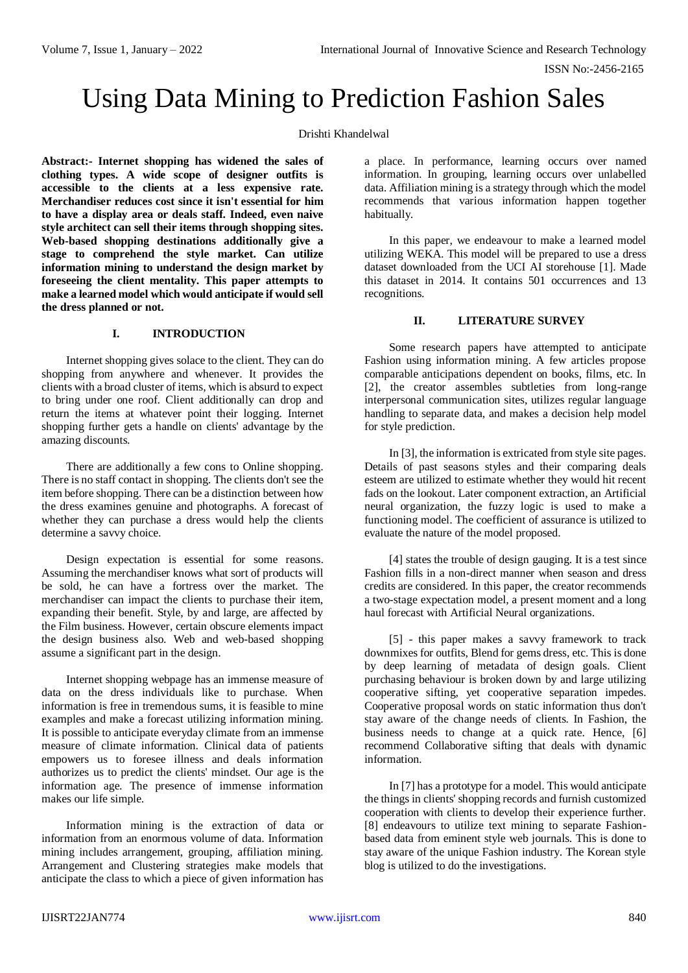# Using Data Mining to Prediction Fashion Sales

Drishti Khandelwal

**Abstract:- Internet shopping has widened the sales of clothing types. A wide scope of designer outfits is accessible to the clients at a less expensive rate. Merchandiser reduces cost since it isn't essential for him to have a display area or deals staff. Indeed, even naive style architect can sell their items through shopping sites. Web-based shopping destinations additionally give a stage to comprehend the style market. Can utilize information mining to understand the design market by foreseeing the client mentality. This paper attempts to make a learned model which would anticipate if would sell the dress planned or not.**

# **I. INTRODUCTION**

Internet shopping gives solace to the client. They can do shopping from anywhere and whenever. It provides the clients with a broad cluster of items, which is absurd to expect to bring under one roof. Client additionally can drop and return the items at whatever point their logging. Internet shopping further gets a handle on clients' advantage by the amazing discounts.

There are additionally a few cons to Online shopping. There is no staff contact in shopping. The clients don't see the item before shopping. There can be a distinction between how the dress examines genuine and photographs. A forecast of whether they can purchase a dress would help the clients determine a savvy choice.

Design expectation is essential for some reasons. Assuming the merchandiser knows what sort of products will be sold, he can have a fortress over the market. The merchandiser can impact the clients to purchase their item, expanding their benefit. Style, by and large, are affected by the Film business. However, certain obscure elements impact the design business also. Web and web-based shopping assume a significant part in the design.

Internet shopping webpage has an immense measure of data on the dress individuals like to purchase. When information is free in tremendous sums, it is feasible to mine examples and make a forecast utilizing information mining. It is possible to anticipate everyday climate from an immense measure of climate information. Clinical data of patients empowers us to foresee illness and deals information authorizes us to predict the clients' mindset. Our age is the information age. The presence of immense information makes our life simple.

Information mining is the extraction of data or information from an enormous volume of data. Information mining includes arrangement, grouping, affiliation mining. Arrangement and Clustering strategies make models that anticipate the class to which a piece of given information has

a place. In performance, learning occurs over named information. In grouping, learning occurs over unlabelled data. Affiliation mining is a strategy through which the model recommends that various information happen together habitually.

In this paper, we endeavour to make a learned model utilizing WEKA. This model will be prepared to use a dress dataset downloaded from the UCI AI storehouse [1]. Made this dataset in 2014. It contains 501 occurrences and 13 recognitions.

# **II. LITERATURE SURVEY**

Some research papers have attempted to anticipate Fashion using information mining. A few articles propose comparable anticipations dependent on books, films, etc. In [2], the creator assembles subtleties from long-range interpersonal communication sites, utilizes regular language handling to separate data, and makes a decision help model for style prediction.

In [3], the information is extricated from style site pages. Details of past seasons styles and their comparing deals esteem are utilized to estimate whether they would hit recent fads on the lookout. Later component extraction, an Artificial neural organization, the fuzzy logic is used to make a functioning model. The coefficient of assurance is utilized to evaluate the nature of the model proposed.

[4] states the trouble of design gauging. It is a test since Fashion fills in a non-direct manner when season and dress credits are considered. In this paper, the creator recommends a two-stage expectation model, a present moment and a long haul forecast with Artificial Neural organizations.

[5] - this paper makes a savvy framework to track downmixes for outfits, Blend for gems dress, etc. This is done by deep learning of metadata of design goals. Client purchasing behaviour is broken down by and large utilizing cooperative sifting, yet cooperative separation impedes. Cooperative proposal words on static information thus don't stay aware of the change needs of clients. In Fashion, the business needs to change at a quick rate. Hence, [6] recommend Collaborative sifting that deals with dynamic information.

In [7] has a prototype for a model. This would anticipate the things in clients' shopping records and furnish customized cooperation with clients to develop their experience further. [8] endeavours to utilize text mining to separate Fashionbased data from eminent style web journals. This is done to stay aware of the unique Fashion industry. The Korean style blog is utilized to do the investigations.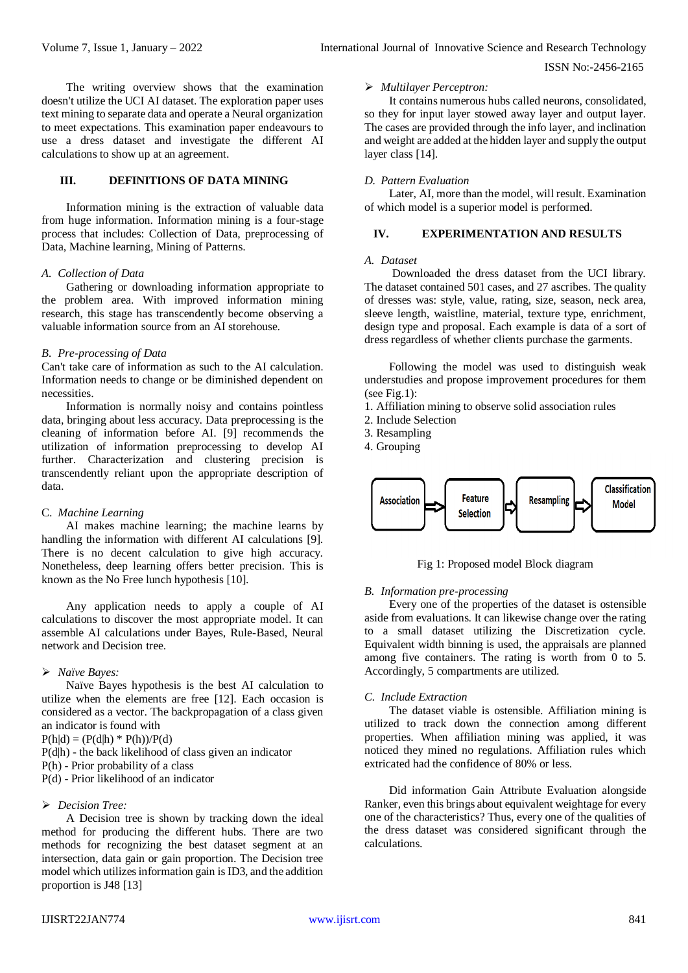The writing overview shows that the examination doesn't utilize the UCI AI dataset. The exploration paper uses text mining to separate data and operate a Neural organization to meet expectations. This examination paper endeavours to use a dress dataset and investigate the different AI calculations to show up at an agreement.

# **III. DEFINITIONS OF DATA MINING**

Information mining is the extraction of valuable data from huge information. Information mining is a four-stage process that includes: Collection of Data, preprocessing of Data, Machine learning, Mining of Patterns.

## *A. Collection of Data*

Gathering or downloading information appropriate to the problem area. With improved information mining research, this stage has transcendently become observing a valuable information source from an AI storehouse.

#### *B. Pre-processing of Data*

Can't take care of information as such to the AI calculation. Information needs to change or be diminished dependent on necessities.

Information is normally noisy and contains pointless data, bringing about less accuracy. Data preprocessing is the cleaning of information before AI. [9] recommends the utilization of information preprocessing to develop AI further. Characterization and clustering precision is transcendently reliant upon the appropriate description of data.

## C. *Machine Learning*

AI makes machine learning; the machine learns by handling the information with different AI calculations [9]. There is no decent calculation to give high accuracy. Nonetheless, deep learning offers better precision. This is known as the No Free lunch hypothesis [10].

Any application needs to apply a couple of AI calculations to discover the most appropriate model. It can assemble AI calculations under Bayes, Rule-Based, Neural network and Decision tree.

#### *Naïve Bayes:*

Naïve Bayes hypothesis is the best AI calculation to utilize when the elements are free [12]. Each occasion is considered as a vector. The backpropagation of a class given an indicator is found with

 $P(h|d) = (P(d|h) * P(h))/P(d)$ 

P(d|h) - the back likelihood of class given an indicator

P(h) - Prior probability of a class

P(d) - Prior likelihood of an indicator

## *Decision Tree:*

A Decision tree is shown by tracking down the ideal method for producing the different hubs. There are two methods for recognizing the best dataset segment at an intersection, data gain or gain proportion. The Decision tree model which utilizes information gain is ID3, and the addition proportion is J48 [13]

# *Multilayer Perceptron:*

It contains numerous hubs called neurons, consolidated, so they for input layer stowed away layer and output layer. The cases are provided through the info layer, and inclination and weight are added at the hidden layer and supply the output layer class [14].

#### *D. Pattern Evaluation*

Later, AI, more than the model, will result. Examination of which model is a superior model is performed.

## **IV. EXPERIMENTATION AND RESULTS**

#### *A. Dataset*

Downloaded the dress dataset from the UCI library. The dataset contained 501 cases, and 27 ascribes. The quality of dresses was: style, value, rating, size, season, neck area, sleeve length, waistline, material, texture type, enrichment, design type and proposal. Each example is data of a sort of dress regardless of whether clients purchase the garments.

Following the model was used to distinguish weak understudies and propose improvement procedures for them (see Fig.1):

- 1. Affiliation mining to observe solid association rules
- 2. Include Selection

3. Resampling

4. Grouping



Fig 1: Proposed model Block diagram

#### *B. Information pre-processing*

Every one of the properties of the dataset is ostensible aside from evaluations. It can likewise change over the rating to a small dataset utilizing the Discretization cycle. Equivalent width binning is used, the appraisals are planned among five containers. The rating is worth from 0 to 5. Accordingly, 5 compartments are utilized.

#### *C. Include Extraction*

The dataset viable is ostensible. Affiliation mining is utilized to track down the connection among different properties. When affiliation mining was applied, it was noticed they mined no regulations. Affiliation rules which extricated had the confidence of 80% or less.

Did information Gain Attribute Evaluation alongside Ranker, even this brings about equivalent weightage for every one of the characteristics? Thus, every one of the qualities of the dress dataset was considered significant through the calculations.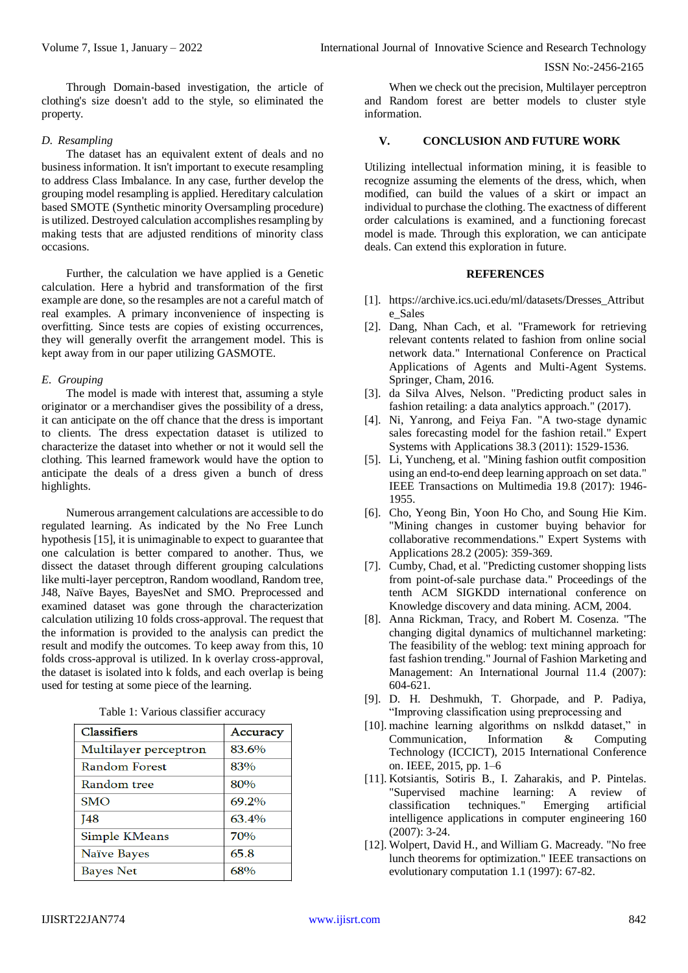#### ISSN No:-2456-2165

Through Domain-based investigation, the article of clothing's size doesn't add to the style, so eliminated the property.

# *D. Resampling*

The dataset has an equivalent extent of deals and no business information. It isn't important to execute resampling to address Class Imbalance. In any case, further develop the grouping model resampling is applied. Hereditary calculation based SMOTE (Synthetic minority Oversampling procedure) is utilized. Destroyed calculation accomplishes resampling by making tests that are adjusted renditions of minority class occasions.

Further, the calculation we have applied is a Genetic calculation. Here a hybrid and transformation of the first example are done, so the resamples are not a careful match of real examples. A primary inconvenience of inspecting is overfitting. Since tests are copies of existing occurrences, they will generally overfit the arrangement model. This is kept away from in our paper utilizing GASMOTE.

# *E. Grouping*

The model is made with interest that, assuming a style originator or a merchandiser gives the possibility of a dress, it can anticipate on the off chance that the dress is important to clients. The dress expectation dataset is utilized to characterize the dataset into whether or not it would sell the clothing. This learned framework would have the option to anticipate the deals of a dress given a bunch of dress highlights.

Numerous arrangement calculations are accessible to do regulated learning. As indicated by the No Free Lunch hypothesis [15], it is unimaginable to expect to guarantee that one calculation is better compared to another. Thus, we dissect the dataset through different grouping calculations like multi-layer perceptron, Random woodland, Random tree, J48, Naïve Bayes, BayesNet and SMO. Preprocessed and examined dataset was gone through the characterization calculation utilizing 10 folds cross-approval. The request that the information is provided to the analysis can predict the result and modify the outcomes. To keep away from this, 10 folds cross-approval is utilized. In k overlay cross-approval, the dataset is isolated into k folds, and each overlap is being used for testing at some piece of the learning.

|  |  | Table 1: Various classifier accuracy |  |
|--|--|--------------------------------------|--|
|--|--|--------------------------------------|--|

| Classifiers           | Accuracy |
|-----------------------|----------|
| Multilayer perceptron | 83.6%    |
| Random Forest         | 83%      |
| Random tree           | 80%      |
| <b>SMO</b>            | 69.2%    |
| I48                   | 63.4%    |
| Simple KMeans         | 70%      |
| Naïve Bayes           | 65.8     |
| <b>Bayes Net</b>      | 68%      |

When we check out the precision, Multilayer perceptron and Random forest are better models to cluster style information.

# **V. CONCLUSION AND FUTURE WORK**

Utilizing intellectual information mining, it is feasible to recognize assuming the elements of the dress, which, when modified, can build the values of a skirt or impact an individual to purchase the clothing. The exactness of different order calculations is examined, and a functioning forecast model is made. Through this exploration, we can anticipate deals. Can extend this exploration in future.

# **REFERENCES**

- [1]. https://archive.ics.uci.edu/ml/datasets/Dresses Attribut e\_Sales
- [2]. Dang, Nhan Cach, et al. "Framework for retrieving relevant contents related to fashion from online social network data." International Conference on Practical Applications of Agents and Multi-Agent Systems. Springer, Cham, 2016.
- [3]. da Silva Alves, Nelson. "Predicting product sales in fashion retailing: a data analytics approach." (2017).
- [4]. Ni, Yanrong, and Feiya Fan. "A two-stage dynamic sales forecasting model for the fashion retail." Expert Systems with Applications 38.3 (2011): 1529-1536.
- [5]. Li, Yuncheng, et al. "Mining fashion outfit composition using an end-to-end deep learning approach on set data." IEEE Transactions on Multimedia 19.8 (2017): 1946- 1955.
- [6]. Cho, Yeong Bin, Yoon Ho Cho, and Soung Hie Kim. "Mining changes in customer buying behavior for collaborative recommendations." Expert Systems with Applications 28.2 (2005): 359-369.
- [7]. Cumby, Chad, et al. "Predicting customer shopping lists from point-of-sale purchase data." Proceedings of the tenth ACM SIGKDD international conference on Knowledge discovery and data mining. ACM, 2004.
- [8]. Anna Rickman, Tracy, and Robert M. Cosenza. "The changing digital dynamics of multichannel marketing: The feasibility of the weblog: text mining approach for fast fashion trending." Journal of Fashion Marketing and Management: An International Journal 11.4 (2007): 604-621.
- [9]. D. H. Deshmukh, T. Ghorpade, and P. Padiya, "Improving classification using preprocessing and
- [10]. machine learning algorithms on nslkdd dataset," in Communication, Information & Computing Technology (ICCICT), 2015 International Conference on. IEEE, 2015, pp. 1–6
- [11]. Kotsiantis, Sotiris B., I. Zaharakis, and P. Pintelas. "Supervised machine learning: A review of classification techniques." Emerging artificial intelligence applications in computer engineering 160 (2007): 3-24.
- [12]. Wolpert, David H., and William G. Macready. "No free lunch theorems for optimization." IEEE transactions on evolutionary computation 1.1 (1997): 67-82.